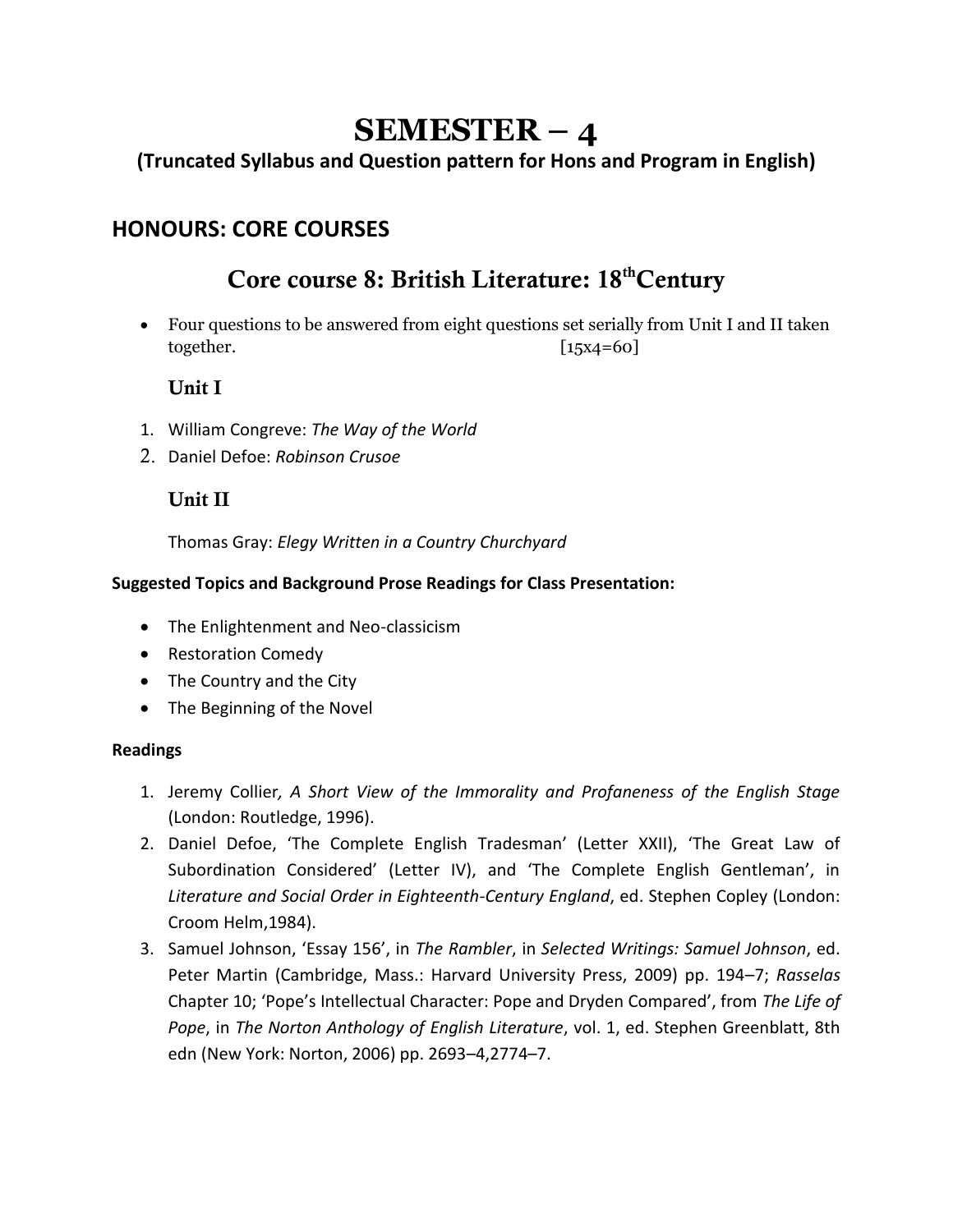# **SEMESTER – 4**

## **(Truncated Syllabus and Question pattern for Hons and Program in English)**

# **HONOURS: CORE COURSES**

# Core course 8: British Literature: 18<sup>th</sup>Century

• Four questions to be answered from eight questions set serially from Unit I and II taken together. [15x4=60]

#### Unit I

- 1. William Congreve: *The Way of the World*
- 2. Daniel Defoe: *Robinson Crusoe*

### Unit II

Thomas Gray: *Elegy Written in a Country Churchyard*

#### **Suggested Topics and Background Prose Readings for Class Presentation:**

- The Enlightenment and Neo-classicism
- Restoration Comedy
- The Country and the City
- The Beginning of the Novel

#### **Readings**

- 1. Jeremy Collier*, A Short View of the Immorality and Profaneness of the English Stage* (London: Routledge, 1996).
- 2. Daniel Defoe, 'The Complete English Tradesman' (Letter XXII), 'The Great Law of Subordination Considered' (Letter IV), and 'The Complete English Gentleman', in *Literature and Social Order in Eighteenth-Century England*, ed. Stephen Copley (London: Croom Helm,1984).
- 3. Samuel Johnson, 'Essay 156', in *The Rambler*, in *Selected Writings: Samuel Johnson*, ed. Peter Martin (Cambridge, Mass.: Harvard University Press, 2009) pp. 194–7; *Rasselas* Chapter 10; 'Pope's Intellectual Character: Pope and Dryden Compared', from *The Life of Pope*, in *The Norton Anthology of English Literature*, vol. 1, ed. Stephen Greenblatt, 8th edn (New York: Norton, 2006) pp. 2693–4,2774–7.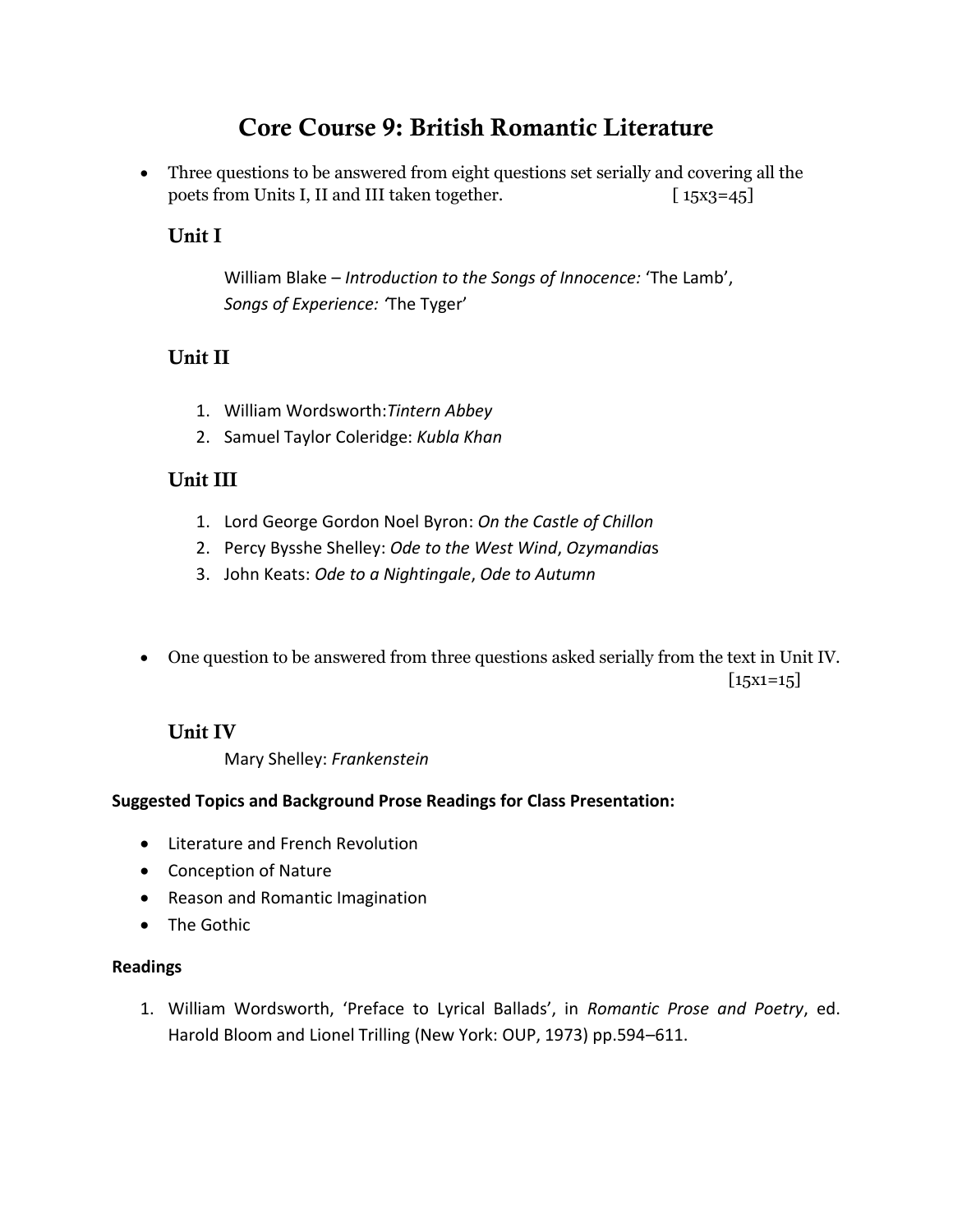# Core Course 9: British Romantic Literature

• Three questions to be answered from eight questions set serially and covering all the poets from Units I, II and III taken together. [15x3=45]

### Unit I

William Blake – *Introduction to the Songs of Innocence:* 'The Lamb', *Songs of Experience: '*The Tyger'

### Unit II

- 1. William Wordsworth:*Tintern Abbey*
- 2. Samuel Taylor Coleridge: *Kubla Khan*

#### Unit III

- 1. Lord George Gordon Noel Byron: *On the Castle of Chillon*
- 2. Percy Bysshe Shelley: *Ode to the West Wind*, *Ozymandia*s
- 3. John Keats: *Ode to a Nightingale*, *Ode to Autumn*

• One question to be answered from three questions asked serially from the text in Unit IV.  $[15x1=15]$ 

### Unit IV

Mary Shelley: *Frankenstein*

#### **Suggested Topics and Background Prose Readings for Class Presentation:**

- Literature and French Revolution
- Conception of Nature
- Reason and Romantic Imagination
- The Gothic

#### **Readings**

1. William Wordsworth, 'Preface to Lyrical Ballads', in *Romantic Prose and Poetry*, ed. Harold Bloom and Lionel Trilling (New York: OUP, 1973) pp.594–611.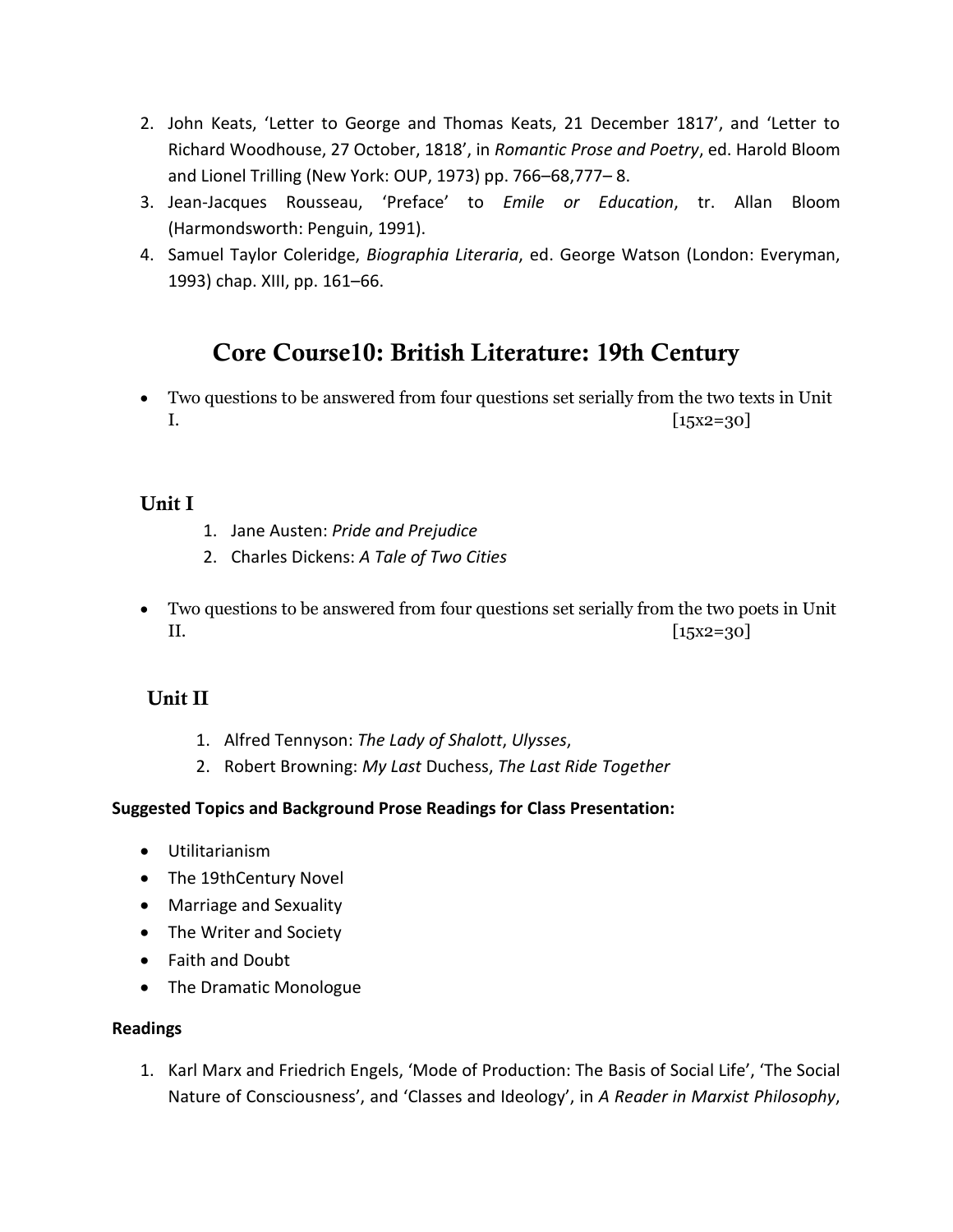- 2. John Keats, 'Letter to George and Thomas Keats, 21 December 1817', and 'Letter to Richard Woodhouse, 27 October, 1818', in *Romantic Prose and Poetry*, ed. Harold Bloom and Lionel Trilling (New York: OUP, 1973) pp. 766–68,777– 8.
- 3. Jean-Jacques Rousseau, 'Preface' to *Emile or Education*, tr. Allan Bloom (Harmondsworth: Penguin, 1991).
- 4. Samuel Taylor Coleridge, *Biographia Literaria*, ed. George Watson (London: Everyman, 1993) chap. XIII, pp. 161–66.

# Core Course10: British Literature: 19th Century

• Two questions to be answered from four questions set serially from the two texts in Unit  $\left[15x2=30\right]$ 

#### Unit I

- 1. Jane Austen: *Pride and Prejudice*
- 2. Charles Dickens: *A Tale of Two Cities*
- Two questions to be answered from four questions set serially from the two poets in Unit  $[15x2=30]$

### Unit II

- 1. Alfred Tennyson: *The Lady of Shalott*, *Ulysses*,
- 2. Robert Browning: *My Last* Duchess, *The Last Ride Together*

#### **Suggested Topics and Background Prose Readings for Class Presentation:**

- Utilitarianism
- The 19thCentury Novel
- Marriage and Sexuality
- The Writer and Society
- Faith and Doubt
- The Dramatic Monologue

#### **Readings**

1. Karl Marx and Friedrich Engels, 'Mode of Production: The Basis of Social Life', 'The Social Nature of Consciousness', and 'Classes and Ideology', in *A Reader in Marxist Philosophy*,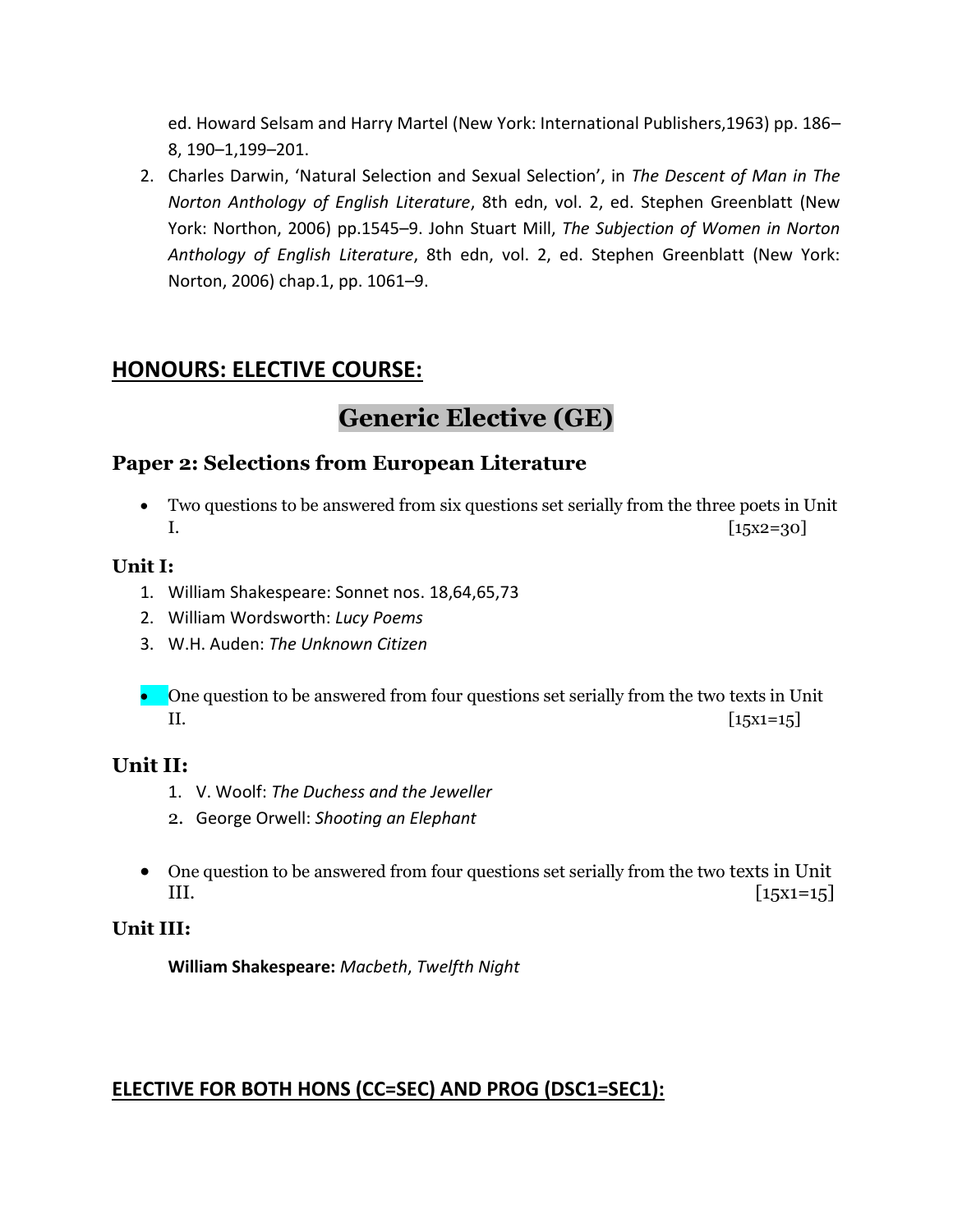ed. Howard Selsam and Harry Martel (New York: International Publishers,1963) pp. 186– 8, 190–1,199–201.

2. Charles Darwin, 'Natural Selection and Sexual Selection', in *The Descent of Man in The Norton Anthology of English Literature*, 8th edn, vol. 2, ed. Stephen Greenblatt (New York: Northon, 2006) pp.1545–9. John Stuart Mill, *The Subjection of Women in Norton Anthology of English Literature*, 8th edn, vol. 2, ed. Stephen Greenblatt (New York: Norton, 2006) chap.1, pp. 1061–9.

# **HONOURS: ELECTIVE COURSE:**

# **Generic Elective (GE)**

### **Paper 2: Selections from European Literature**

• Two questions to be answered from six questions set serially from the three poets in Unit  $[15x2=30]$ 

#### **Unit I:**

- 1. William Shakespeare: Sonnet nos. 18,64,65,73
- 2. William Wordsworth: *Lucy Poems*
- 3. W.H. Auden: *The Unknown Citizen*
- One question to be answered from four questions set serially from the two texts in Unit II.  $[15x1=15]$

#### **Unit II:**

- 1. V. Woolf: *The Duchess and the Jeweller*
- 2. George Orwell: *Shooting an Elephant*
- One question to be answered from four questions set serially from the two texts in Unit III.  $[15x1=15]$

#### **Unit III:**

**William Shakespeare:** *Macbeth*, *Twelfth Night*

## **ELECTIVE FOR BOTH HONS (CC=SEC) AND PROG (DSC1=SEC1):**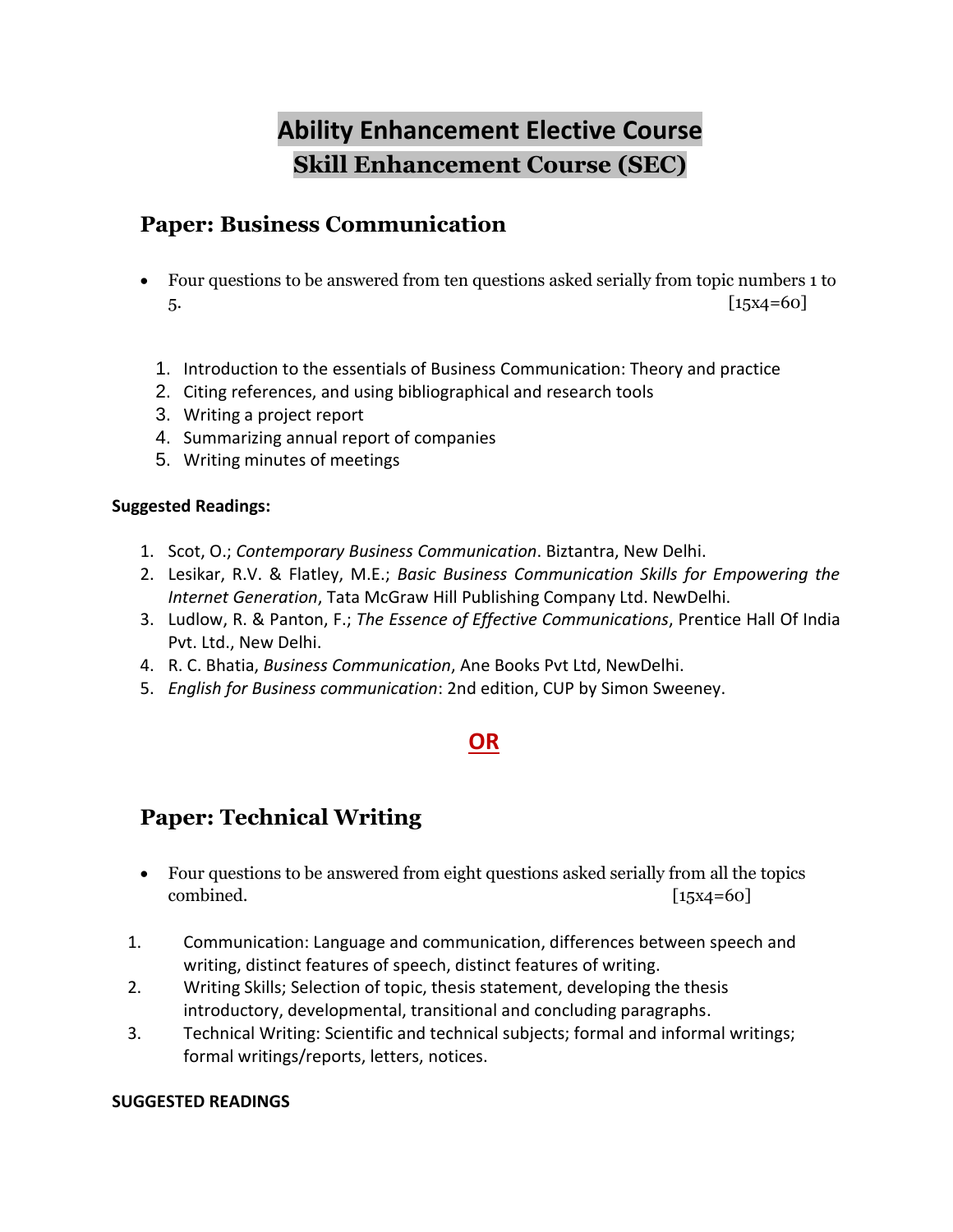# **Ability Enhancement Elective Course Skill Enhancement Course (SEC)**

# **Paper: Business Communication**

- Four questions to be answered from ten questions asked serially from topic numbers 1 to  $5.$  [15x4=60]
	- 1. Introduction to the essentials of Business Communication: Theory and practice
	- 2. Citing references, and using bibliographical and research tools
	- 3. Writing a project report
	- 4. Summarizing annual report of companies
	- 5. Writing minutes of meetings

#### **Suggested Readings:**

- 1. Scot, O.; *Contemporary Business Communication*. Biztantra, New Delhi.
- 2. Lesikar, R.V. & Flatley, M.E.; *Basic Business Communication Skills for Empowering the Internet Generation*, Tata McGraw Hill Publishing Company Ltd. NewDelhi.
- 3. Ludlow, R. & Panton, F.; *The Essence of Effective Communications*, Prentice Hall Of India Pvt. Ltd., New Delhi.
- 4. R. C. Bhatia, *Business Communication*, Ane Books Pvt Ltd, NewDelhi.
- 5. *English for Business communication*: 2nd edition, CUP by Simon Sweeney.

# **OR**

# **Paper: Technical Writing**

- Four questions to be answered from eight questions asked serially from all the topics combined. [15x4=60]
- 1. Communication: Language and communication, differences between speech and writing, distinct features of speech, distinct features of writing.
- 2. Writing Skills; Selection of topic, thesis statement, developing the thesis introductory, developmental, transitional and concluding paragraphs.
- 3. Technical Writing: Scientific and technical subjects; formal and informal writings; formal writings/reports, letters, notices.

#### **SUGGESTED READINGS**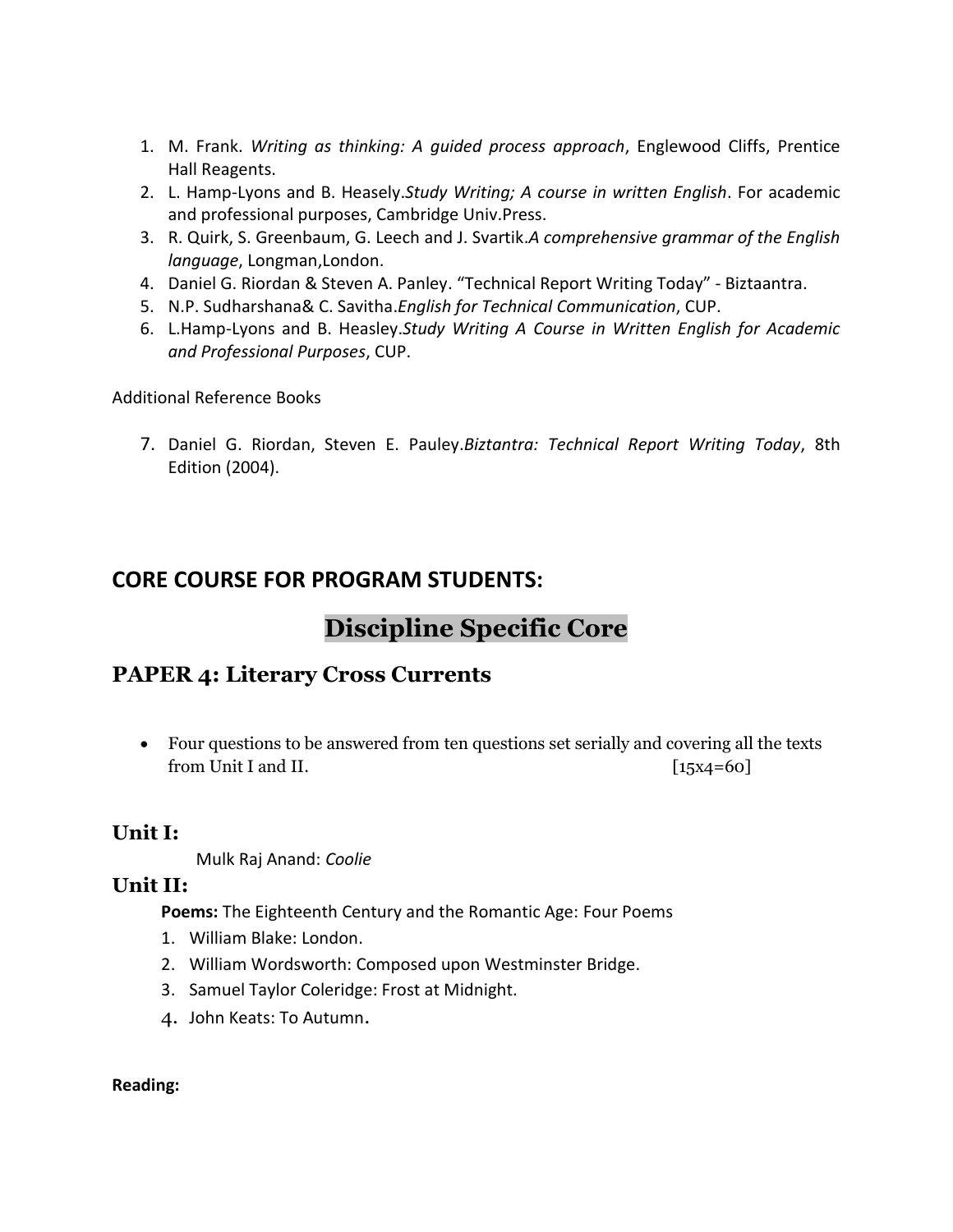- 1. M. Frank. *Writing as thinking: A guided process approach*, Englewood Cliffs, Prentice Hall Reagents.
- 2. L. Hamp-Lyons and B. Heasely.*Study Writing; A course in written English*. For academic and professional purposes, Cambridge Univ.Press.
- 3. R. Quirk, S. Greenbaum, G. Leech and J. Svartik.*A comprehensive grammar of the English language*, Longman,London.
- 4. Daniel G. Riordan & Steven A. Panley. "Technical Report Writing Today" Biztaantra.
- 5. N.P. Sudharshana& C. Savitha.*English for Technical Communication*, CUP.
- 6. L.Hamp-Lyons and B. Heasley.*Study Writing A Course in Written English for Academic and Professional Purposes*, CUP.

Additional Reference Books

7. Daniel G. Riordan, Steven E. Pauley.*Biztantra: Technical Report Writing Today*, 8th Edition (2004).

# **CORE COURSE FOR PROGRAM STUDENTS:**

# **Discipline Specific Core**

## **PAPER 4: Literary Cross Currents**

• Four questions to be answered from ten questions set serially and covering all the texts from Unit I and II.  $[15x4=60]$ 

### **Unit I:**

Mulk Raj Anand: *Coolie*

### **Unit II:**

**Poems:** The Eighteenth Century and the Romantic Age: Four Poems

- 1. William Blake: London.
- 2. William Wordsworth: Composed upon Westminster Bridge.
- 3. Samuel Taylor Coleridge: Frost at Midnight.
- 4. John Keats: To Autumn.

#### **Reading:**